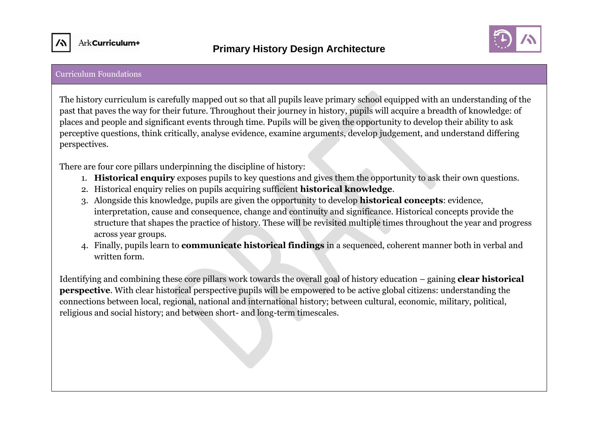



#### Curriculum Foundations

The history curriculum is carefully mapped out so that all pupils leave primary school equipped with an understanding of the past that paves the way for their future. Throughout their journey in history, pupils will acquire a breadth of knowledge: of places and people and significant events through time. Pupils will be given the opportunity to develop their ability to ask perceptive questions, think critically, analyse evidence, examine arguments, develop judgement, and understand differing perspectives.

There are four core pillars underpinning the discipline of history:

- 1. **Historical enquiry** exposes pupils to key questions and gives them the opportunity to ask their own questions.
- 2. Historical enquiry relies on pupils acquiring sufficient **historical knowledge**.
- 3. Alongside this knowledge, pupils are given the opportunity to develop **historical concepts**: evidence, interpretation, cause and consequence, change and continuity and significance. Historical concepts provide the structure that shapes the practice of history. These will be revisited multiple times throughout the year and progress across year groups.
- 4. Finally, pupils learn to **communicate historical findings** in a sequenced, coherent manner both in verbal and written form.

Identifying and combining these core pillars work towards the overall goal of history education – gaining **clear historical perspective**. With clear historical perspective pupils will be empowered to be active global citizens: understanding the connections between local, regional, national and international history; between cultural, economic, military, political, religious and social history; and between short- and long-term timescales.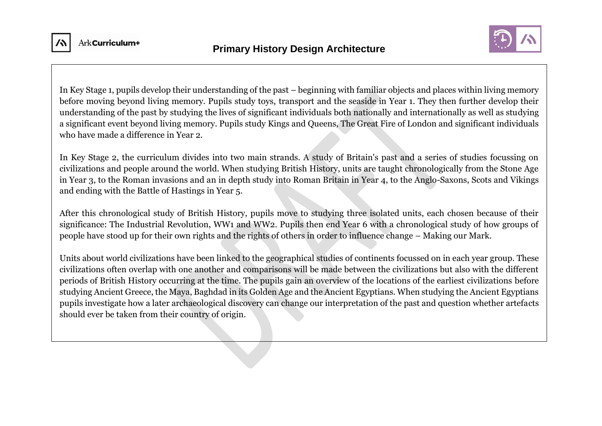



In Key Stage 1, pupils develop their understanding of the past – beginning with familiar objects and places within living memory before moving beyond living memory. Pupils study toys, transport and the seaside in Year 1. They then further develop their understanding of the past by studying the lives of significant individuals both nationally and internationally as well as studying a significant event beyond living memory. Pupils study Kings and Queens, The Great Fire of London and significant individuals who have made a difference in Year 2.

In Key Stage 2, the curriculum divides into two main strands. A study of Britain's past and a series of studies focussing on civilizations and people around the world. When studying British History, units are taught chronologically from the Stone Age in Year 3, to the Roman invasions and an in depth study into Roman Britain in Year 4, to the Anglo-Saxons, Scots and Vikings and ending with the Battle of Hastings in Year 5.

After this chronological study of British History, pupils move to studying three isolated units, each chosen because of their significance: The Industrial Revolution, WW1 and WW2. Pupils then end Year 6 with a chronological study of how groups of people have stood up for their own rights and the rights of others in order to influence change – Making our Mark.

Units about world civilizations have been linked to the geographical studies of continents focussed on in each year group. These civilizations often overlap with one another and comparisons will be made between the civilizations but also with the different periods of British History occurring at the time. The pupils gain an overview of the locations of the earliest civilizations before studying Ancient Greece, the Maya, Baghdad in its Golden Age and the Ancient Egyptians. When studying the Ancient Egyptians pupils investigate how a later archaeological discovery can change our interpretation of the past and question whether artefacts should ever be taken from their country of origin.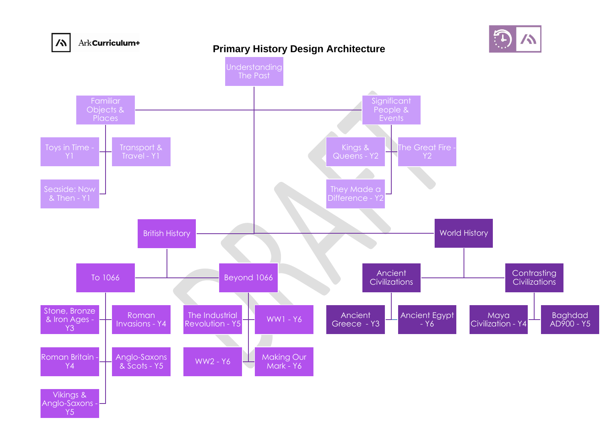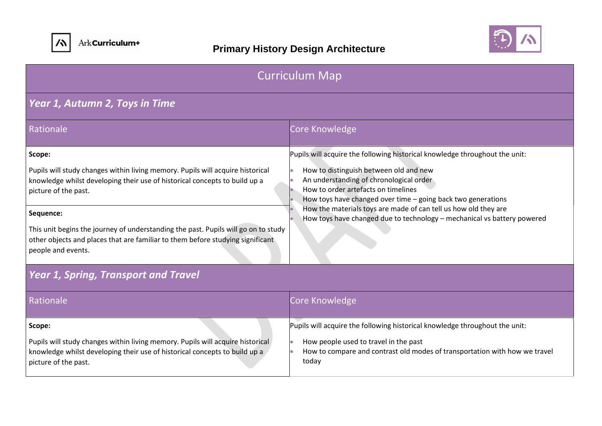



| <b>Curriculum Map</b>                                                                                                                                                                                                                                                                                                                                                                                     |                                                                                                                                                                                                                                                                                                                                                                                                                       |  |
|-----------------------------------------------------------------------------------------------------------------------------------------------------------------------------------------------------------------------------------------------------------------------------------------------------------------------------------------------------------------------------------------------------------|-----------------------------------------------------------------------------------------------------------------------------------------------------------------------------------------------------------------------------------------------------------------------------------------------------------------------------------------------------------------------------------------------------------------------|--|
| Year 1, Autumn 2, Toys in Time                                                                                                                                                                                                                                                                                                                                                                            |                                                                                                                                                                                                                                                                                                                                                                                                                       |  |
| Rationale                                                                                                                                                                                                                                                                                                                                                                                                 | Core Knowledge                                                                                                                                                                                                                                                                                                                                                                                                        |  |
| Scope:<br>Pupils will study changes within living memory. Pupils will acquire historical<br>knowledge whilst developing their use of historical concepts to build up a<br>picture of the past.<br>Sequence:<br>This unit begins the journey of understanding the past. Pupils will go on to study<br>other objects and places that are familiar to them before studying significant<br>people and events. | Pupils will acquire the following historical knowledge throughout the unit:<br>How to distinguish between old and new<br>An understanding of chronological order<br>How to order artefacts on timelines<br>How toys have changed over time - going back two generations<br>How the materials toys are made of can tell us how old they are<br>How toys have changed due to technology - mechanical vs battery powered |  |
| <b>Year 1, Spring, Transport and Travel</b>                                                                                                                                                                                                                                                                                                                                                               |                                                                                                                                                                                                                                                                                                                                                                                                                       |  |
| Rationale                                                                                                                                                                                                                                                                                                                                                                                                 | Core Knowledge                                                                                                                                                                                                                                                                                                                                                                                                        |  |
| Scope:<br>Pupils will study changes within living memory. Pupils will acquire historical<br>knowledge whilst developing their use of historical concepts to build up a<br>picture of the past.                                                                                                                                                                                                            | Pupils will acquire the following historical knowledge throughout the unit:<br>How people used to travel in the past<br>How to compare and contrast old modes of transportation with how we travel<br>today                                                                                                                                                                                                           |  |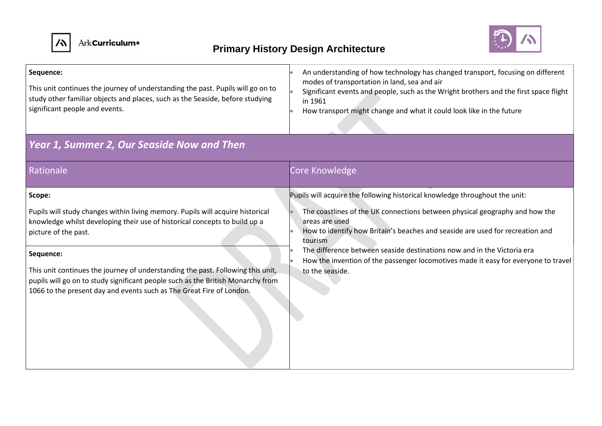



| Sequence:<br>This unit continues the journey of understanding the past. Pupils will go on to<br>study other familiar objects and places, such as the Seaside, before studying<br>significant people and events.                                                                                                                                                                                                                                 | An understanding of how technology has changed transport, focusing on different<br>modes of transportation in land, sea and air<br>Significant events and people, such as the Wright brothers and the first space flight<br>in 1961<br>How transport might change and what it could look like in the future                                                                   |
|-------------------------------------------------------------------------------------------------------------------------------------------------------------------------------------------------------------------------------------------------------------------------------------------------------------------------------------------------------------------------------------------------------------------------------------------------|-------------------------------------------------------------------------------------------------------------------------------------------------------------------------------------------------------------------------------------------------------------------------------------------------------------------------------------------------------------------------------|
| Year 1, Summer 2, Our Seaside Now and Then                                                                                                                                                                                                                                                                                                                                                                                                      |                                                                                                                                                                                                                                                                                                                                                                               |
| Rationale                                                                                                                                                                                                                                                                                                                                                                                                                                       | Core Knowledge                                                                                                                                                                                                                                                                                                                                                                |
| Scope:                                                                                                                                                                                                                                                                                                                                                                                                                                          | Pupils will acquire the following historical knowledge throughout the unit:                                                                                                                                                                                                                                                                                                   |
| Pupils will study changes within living memory. Pupils will acquire historical<br>knowledge whilst developing their use of historical concepts to build up a<br>picture of the past.<br>Sequence:<br>This unit continues the journey of understanding the past. Following this unit,<br>pupils will go on to study significant people such as the British Monarchy from<br>1066 to the present day and events such as The Great Fire of London. | The coastlines of the UK connections between physical geography and how the<br>areas are used<br>How to identify how Britain's beaches and seaside are used for recreation and<br>tourism<br>The difference between seaside destinations now and in the Victoria era<br>How the invention of the passenger locomotives made it easy for everyone to travel<br>to the seaside. |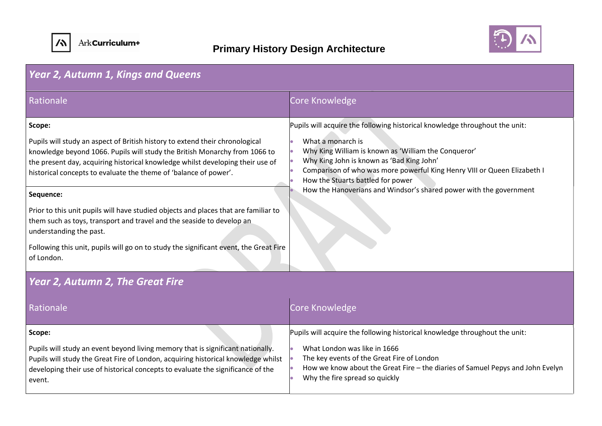



| <b>Year 2, Autumn 1, Kings and Queens</b>                                                                                                                                                                                                                                                                        |                                                                                                                                                                                                                                                                               |
|------------------------------------------------------------------------------------------------------------------------------------------------------------------------------------------------------------------------------------------------------------------------------------------------------------------|-------------------------------------------------------------------------------------------------------------------------------------------------------------------------------------------------------------------------------------------------------------------------------|
| Rationale                                                                                                                                                                                                                                                                                                        | Core Knowledge                                                                                                                                                                                                                                                                |
| Scope:                                                                                                                                                                                                                                                                                                           | Pupils will acquire the following historical knowledge throughout the unit:                                                                                                                                                                                                   |
| Pupils will study an aspect of British history to extend their chronological<br>knowledge beyond 1066. Pupils will study the British Monarchy from 1066 to<br>the present day, acquiring historical knowledge whilst developing their use of<br>historical concepts to evaluate the theme of 'balance of power'. | What a monarch is<br>Why King William is known as 'William the Conqueror'<br>Why King John is known as 'Bad King John'<br>Comparison of who was more powerful King Henry VIII or Queen Elizabeth I<br>How the Stuarts battled for power                                       |
| Sequence:                                                                                                                                                                                                                                                                                                        | How the Hanoverians and Windsor's shared power with the government                                                                                                                                                                                                            |
| Prior to this unit pupils will have studied objects and places that are familiar to<br>them such as toys, transport and travel and the seaside to develop an<br>understanding the past.<br>Following this unit, pupils will go on to study the significant event, the Great Fire<br>of London.                   |                                                                                                                                                                                                                                                                               |
| <b>Year 2, Autumn 2, The Great Fire</b>                                                                                                                                                                                                                                                                          |                                                                                                                                                                                                                                                                               |
|                                                                                                                                                                                                                                                                                                                  |                                                                                                                                                                                                                                                                               |
| Rationale                                                                                                                                                                                                                                                                                                        | Core Knowledge                                                                                                                                                                                                                                                                |
| Scope:<br>Pupils will study an event beyond living memory that is significant nationally.<br>Pupils will study the Great Fire of London, acquiring historical knowledge whilst<br>developing their use of historical concepts to evaluate the significance of the<br>event.                                      | Pupils will acquire the following historical knowledge throughout the unit:<br>What London was like in 1666<br>The key events of the Great Fire of London<br>How we know about the Great Fire - the diaries of Samuel Pepys and John Evelyn<br>Why the fire spread so quickly |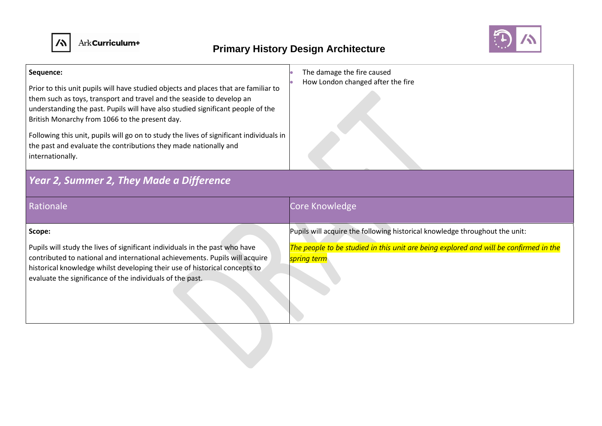



| Sequence:<br>Prior to this unit pupils will have studied objects and places that are familiar to<br>them such as toys, transport and travel and the seaside to develop an<br>understanding the past. Pupils will have also studied significant people of the<br>British Monarchy from 1066 to the present day.<br>Following this unit, pupils will go on to study the lives of significant individuals in<br>the past and evaluate the contributions they made nationally and<br>internationally. | The damage the fire caused<br>How London changed after the fire                                      |
|---------------------------------------------------------------------------------------------------------------------------------------------------------------------------------------------------------------------------------------------------------------------------------------------------------------------------------------------------------------------------------------------------------------------------------------------------------------------------------------------------|------------------------------------------------------------------------------------------------------|
| Year 2, Summer 2, They Made a Difference                                                                                                                                                                                                                                                                                                                                                                                                                                                          |                                                                                                      |
| Rationale                                                                                                                                                                                                                                                                                                                                                                                                                                                                                         | Core Knowledge                                                                                       |
| Scope:                                                                                                                                                                                                                                                                                                                                                                                                                                                                                            | Pupils will acquire the following historical knowledge throughout the unit:                          |
| Pupils will study the lives of significant individuals in the past who have<br>contributed to national and international achievements. Pupils will acquire<br>historical knowledge whilst developing their use of historical concepts to<br>evaluate the significance of the individuals of the past.                                                                                                                                                                                             | The people to be studied in this unit are being explored and will be confirmed in the<br>spring term |
|                                                                                                                                                                                                                                                                                                                                                                                                                                                                                                   |                                                                                                      |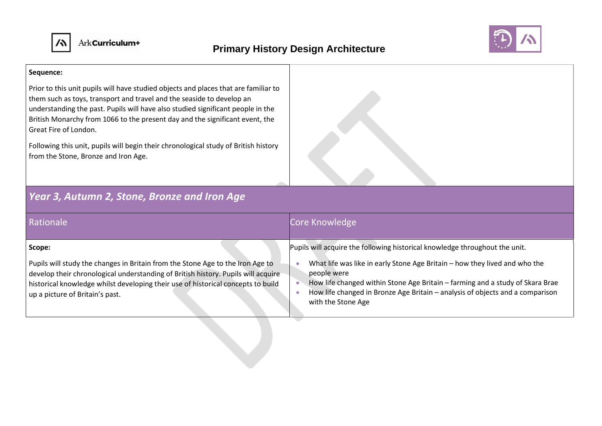



#### **Sequence:**

Prior to this unit pupils will have studied objects and places that are familiar to them such as toys, transport and travel and the seaside to develop an understanding the past. Pupils will have also studied significant people in the British Monarchy from 1066 to the present day and the significant event, the Great Fire of London.

Following this unit, pupils will begin their chronological study of British history from the Stone, Bronze and Iron Age.

### *Year 3, Autumn 2, Stone, Bronze and Iron Age*

| Rationale                                                                                                                                                                                                                                                                                            | Core Knowledge                                                                                                                                                                                                                                                                                                                                                   |
|------------------------------------------------------------------------------------------------------------------------------------------------------------------------------------------------------------------------------------------------------------------------------------------------------|------------------------------------------------------------------------------------------------------------------------------------------------------------------------------------------------------------------------------------------------------------------------------------------------------------------------------------------------------------------|
| Scope:<br>Pupils will study the changes in Britain from the Stone Age to the Iron Age to<br>develop their chronological understanding of British history. Pupils will acquire<br>historical knowledge whilst developing their use of historical concepts to build<br>up a picture of Britain's past. | Pupils will acquire the following historical knowledge throughout the unit.<br>What life was like in early Stone Age Britain – how they lived and who the<br>people were<br>How life changed within Stone Age Britain - farming and a study of Skara Brae<br>How life changed in Bronze Age Britain - analysis of objects and a comparison<br>with the Stone Age |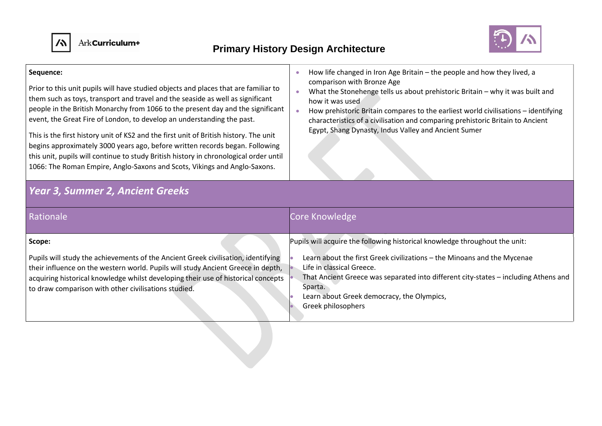



#### **Sequence:**

Prior to this unit pupils will have studied objects and places that are familiar to them such as toys, transport and travel and the seaside as well as significant people in the British Monarchy from 1066 to the present day and the significant event, the Great Fire of London, to develop an understanding the past.

This is the first history unit of KS2 and the first unit of British history. The unit begins approximately 3000 years ago, before written records began. Following this unit, pupils will continue to study British history in chronological order until 1066: The Roman Empire, Anglo-Saxons and Scots, Vikings and Anglo-Saxons.

*Year 3, Summer 2, Ancient Greeks*

- How life changed in Iron Age Britain the people and how they lived, a comparison with Bronze Age
- What the Stonehenge tells us about prehistoric Britain why it was built and how it was used
- How prehistoric Britain compares to the earliest world civilisations identifying characteristics of a civilisation and comparing prehistoric Britain to Ancient Egypt, Shang Dynasty, Indus Valley and Ancient Sumer

| Rationale                                                                                                                                                                                                                                                                                                          | Core Knowledge                                                                                                                                                                                                                                                             |
|--------------------------------------------------------------------------------------------------------------------------------------------------------------------------------------------------------------------------------------------------------------------------------------------------------------------|----------------------------------------------------------------------------------------------------------------------------------------------------------------------------------------------------------------------------------------------------------------------------|
| Scope:                                                                                                                                                                                                                                                                                                             | Pupils will acquire the following historical knowledge throughout the unit:                                                                                                                                                                                                |
| Pupils will study the achievements of the Ancient Greek civilisation, identifying<br>their influence on the western world. Pupils will study Ancient Greece in depth,<br>acquiring historical knowledge whilst developing their use of historical concepts<br>to draw comparison with other civilisations studied. | Learn about the first Greek civilizations - the Minoans and the Mycenae<br>Life in classical Greece.<br>That Ancient Greece was separated into different city-states - including Athens and<br>Sparta.<br>Learn about Greek democracy, the Olympics,<br>Greek philosophers |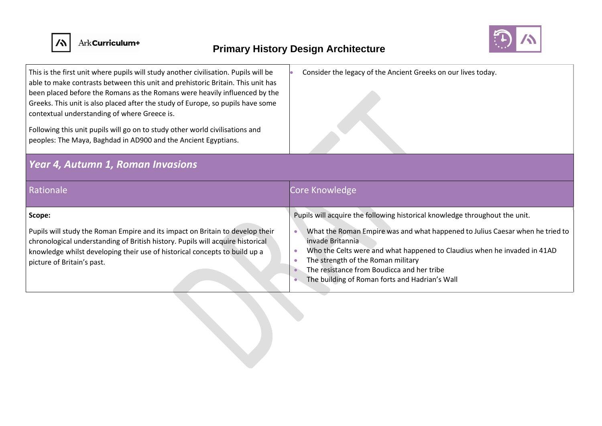



| This is the first unit where pupils will study another civilisation. Pupils will be<br>able to make contrasts between this unit and prehistoric Britain. This unit has<br>been placed before the Romans as the Romans were heavily influenced by the<br>Greeks. This unit is also placed after the study of Europe, so pupils have some<br>contextual understanding of where Greece is.<br>Following this unit pupils will go on to study other world civilisations and<br>peoples: The Maya, Baghdad in AD900 and the Ancient Egyptians. | Consider the legacy of the Ancient Greeks on our lives today.                                                                                                                                                                                                                                                       |  |
|-------------------------------------------------------------------------------------------------------------------------------------------------------------------------------------------------------------------------------------------------------------------------------------------------------------------------------------------------------------------------------------------------------------------------------------------------------------------------------------------------------------------------------------------|---------------------------------------------------------------------------------------------------------------------------------------------------------------------------------------------------------------------------------------------------------------------------------------------------------------------|--|
| Year 4, Autumn 1, Roman Invasions                                                                                                                                                                                                                                                                                                                                                                                                                                                                                                         |                                                                                                                                                                                                                                                                                                                     |  |
| Rationale                                                                                                                                                                                                                                                                                                                                                                                                                                                                                                                                 | Core Knowledge                                                                                                                                                                                                                                                                                                      |  |
| Scope:                                                                                                                                                                                                                                                                                                                                                                                                                                                                                                                                    | Pupils will acquire the following historical knowledge throughout the unit.                                                                                                                                                                                                                                         |  |
| Pupils will study the Roman Empire and its impact on Britain to develop their<br>chronological understanding of British history. Pupils will acquire historical<br>knowledge whilst developing their use of historical concepts to build up a<br>picture of Britain's past.                                                                                                                                                                                                                                                               | What the Roman Empire was and what happened to Julius Caesar when he tried to<br>invade Britannia<br>Who the Celts were and what happened to Claudius when he invaded in 41AD<br>The strength of the Roman military<br>The resistance from Boudicca and her tribe<br>The building of Roman forts and Hadrian's Wall |  |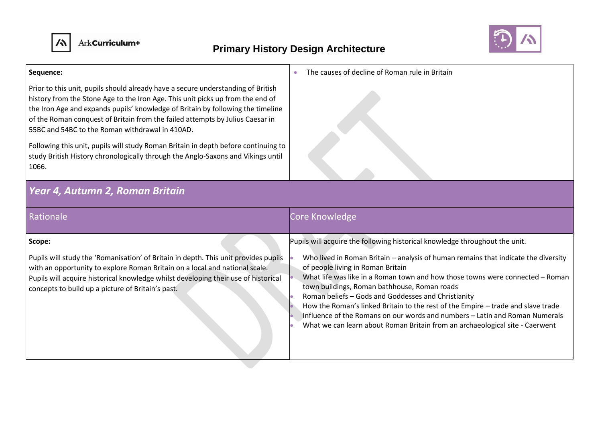



#### **Sequence:**

Prior to this unit, pupils should already have a secure understanding of British history from the Stone Age to the Iron Age. This unit picks up from the end of the Iron Age and expands pupils' knowledge of Britain by following the timeline of the Roman conquest of Britain from the failed attempts by Julius Caesar in 55BC and 54BC to the Roman withdrawal in 410AD.

Following this unit, pupils will study Roman Britain in depth before continuing to study British History chronologically through the Anglo-Saxons and Vikings until 1066.

### *Year 4, Autumn 2, Roman Britain*

| cəlyli Altılıtçululd                                        |  |
|-------------------------------------------------------------|--|
|                                                             |  |
| The causes of decline of Roman rule in Britain<br>$\bullet$ |  |
|                                                             |  |

| Rationale                                                                                                                                                                                                                                                                                                               | Core Knowledge                                                                                                                                                                                                                                                                                                                                                                                                                                                                                                                                                                                                                                    |
|-------------------------------------------------------------------------------------------------------------------------------------------------------------------------------------------------------------------------------------------------------------------------------------------------------------------------|---------------------------------------------------------------------------------------------------------------------------------------------------------------------------------------------------------------------------------------------------------------------------------------------------------------------------------------------------------------------------------------------------------------------------------------------------------------------------------------------------------------------------------------------------------------------------------------------------------------------------------------------------|
| Scope:<br>Pupils will study the 'Romanisation' of Britain in depth. This unit provides pupils<br>with an opportunity to explore Roman Britain on a local and national scale.<br>Pupils will acquire historical knowledge whilst developing their use of historical<br>concepts to build up a picture of Britain's past. | Pupils will acquire the following historical knowledge throughout the unit.<br>Who lived in Roman Britain - analysis of human remains that indicate the diversity<br>of people living in Roman Britain<br>What life was like in a Roman town and how those towns were connected - Roman<br>town buildings, Roman bathhouse, Roman roads<br>Roman beliefs - Gods and Goddesses and Christianity<br>How the Roman's linked Britain to the rest of the Empire - trade and slave trade<br>Influence of the Romans on our words and numbers - Latin and Roman Numerals<br>What we can learn about Roman Britain from an archaeological site - Caerwent |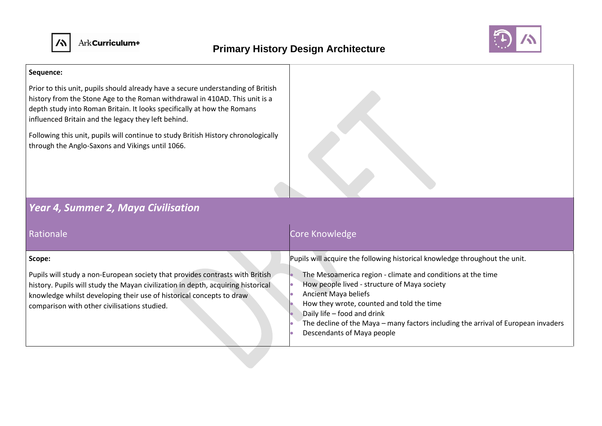

### **Primary History Design Architecture**



#### **Sequence:**

Prior to this unit, pupils should already have a secure understanding of British history from the Stone Age to the Roman withdrawal in 410AD. This unit is a depth study into Roman Britain. It looks specifically at how the Romans influenced Britain and the legacy they left behind.

Following this unit, pupils will continue to study British History chronologically through the Anglo-Saxons and Vikings until 1066.

### *Year 4, Summer 2, Maya Civilisation*

| <b>Rationale</b>                                                                                                                                                                                                                                                                                      | Core Knowledge                                                                                                                                                                                                                                                                                                                                                                                                    |
|-------------------------------------------------------------------------------------------------------------------------------------------------------------------------------------------------------------------------------------------------------------------------------------------------------|-------------------------------------------------------------------------------------------------------------------------------------------------------------------------------------------------------------------------------------------------------------------------------------------------------------------------------------------------------------------------------------------------------------------|
| Scope:<br>Pupils will study a non-European society that provides contrasts with British<br>history. Pupils will study the Mayan civilization in depth, acquiring historical<br>  knowledge whilst developing their use of historical concepts to draw<br>comparison with other civilisations studied. | Pupils will acquire the following historical knowledge throughout the unit.<br>The Mesoamerica region - climate and conditions at the time<br>How people lived - structure of Maya society<br>Ancient Maya beliefs<br>How they wrote, counted and told the time<br>Daily life - food and drink<br>The decline of the Maya – many factors including the arrival of European invaders<br>Descendants of Maya people |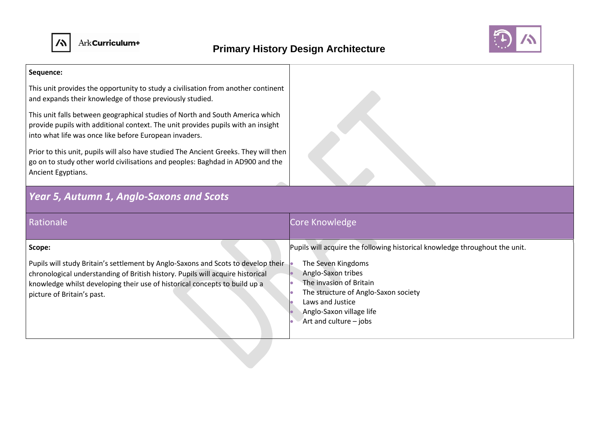



#### **Sequence:**

This unit provides the opportunity to study a civilisation from another continent and expands their knowledge of those previously studied.

This unit falls between geographical studies of North and South America which provide pupils with additional context. The unit provides pupils with an insight into what life was once like before European invaders.

Prior to this unit, pupils will also have studied The Ancient Greeks. They will then go on to study other world civilisations and peoples: Baghdad in AD900 and the Ancient Egyptians.

# *Year 5, Autumn 1, Anglo-Saxons and Scots*

| Rationale                                                                                                                                                                                                                                                                                 | Core Knowledge                                                                                                                                                                                                                                                       |
|-------------------------------------------------------------------------------------------------------------------------------------------------------------------------------------------------------------------------------------------------------------------------------------------|----------------------------------------------------------------------------------------------------------------------------------------------------------------------------------------------------------------------------------------------------------------------|
| Scope:<br>Pupils will study Britain's settlement by Anglo-Saxons and Scots to develop their<br>chronological understanding of British history. Pupils will acquire historical<br>knowledge whilst developing their use of historical concepts to build up a<br>picture of Britain's past. | Pupils will acquire the following historical knowledge throughout the unit.<br>The Seven Kingdoms<br>Anglo-Saxon tribes<br>The invasion of Britain<br>The structure of Anglo-Saxon society<br>Laws and Justice<br>Anglo-Saxon village life<br>Art and culture - jobs |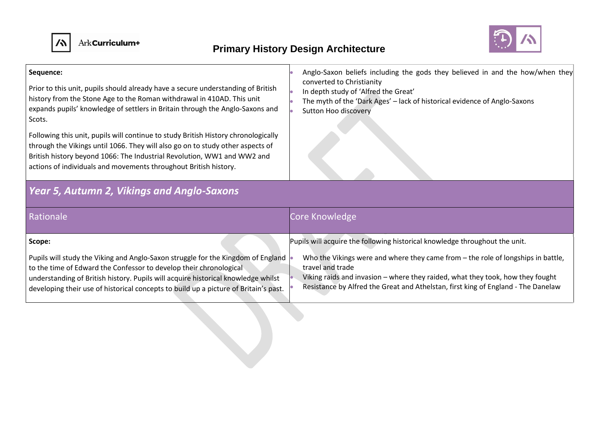

### **Primary History Design Architecture**



#### **Sequence:**  Prior to this unit, pupils should already have a secure understanding of British history from the Stone Age to the Roman withdrawal in 410AD. This unit expands pupils' knowledge of settlers in Britain through the Anglo-Saxons and Scots. Following this unit, pupils will continue to study British History chronologically through the Vikings until 1066. They will also go on to study other aspects of British history beyond 1066: The Industrial Revolution, WW1 and WW2 and actions of individuals and movements throughout British history. • Anglo-Saxon beliefs including the gods they believed in and the how/when they converted to Christianity • In depth study of 'Alfred the Great' • The myth of the 'Dark Ages' – lack of historical evidence of Anglo-Saxons • Sutton Hoo discovery *Year 5, Autumn 2, Vikings and Anglo-Saxons* Rationale **Core Knowledge** Core Knowledge **Core Knowledge Scope:** Pupils will study the Viking and Anglo-Saxon struggle for the Kingdom of England to the time of Edward the Confessor to develop their chronological understanding of British history. Pupils will acquire historical knowledge whilst Pupils will acquire the following historical knowledge throughout the unit. Who the Vikings were and where they came from – the role of longships in battle, travel and trade • Viking raids and invasion – where they raided, what they took, how they fought • Resistance by Alfred the Great and Athelstan, first king of England - The Danelaw

developing their use of historical concepts to build up a picture of Britain's past.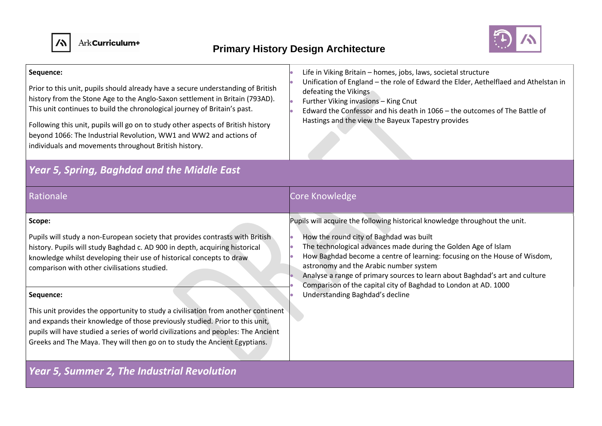



| Sequence:<br>Prior to this unit, pupils should already have a secure understanding of British<br>history from the Stone Age to the Anglo-Saxon settlement in Britain (793AD).<br>This unit continues to build the chronological journey of Britain's past.<br>Following this unit, pupils will go on to study other aspects of British history<br>beyond 1066: The Industrial Revolution, WW1 and WW2 and actions of<br>individuals and movements throughout British history.                                                                                                                                                                      | Life in Viking Britain - homes, jobs, laws, societal structure<br>Unification of England - the role of Edward the Elder, Aethelflaed and Athelstan in<br>defeating the Vikings<br>Further Viking invasions - King Cnut<br>Edward the Confessor and his death in 1066 - the outcomes of The Battle of<br>Hastings and the view the Bayeux Tapestry provides                                                                                                                                           |  |
|----------------------------------------------------------------------------------------------------------------------------------------------------------------------------------------------------------------------------------------------------------------------------------------------------------------------------------------------------------------------------------------------------------------------------------------------------------------------------------------------------------------------------------------------------------------------------------------------------------------------------------------------------|------------------------------------------------------------------------------------------------------------------------------------------------------------------------------------------------------------------------------------------------------------------------------------------------------------------------------------------------------------------------------------------------------------------------------------------------------------------------------------------------------|--|
| <b>Year 5, Spring, Baghdad and the Middle East</b>                                                                                                                                                                                                                                                                                                                                                                                                                                                                                                                                                                                                 |                                                                                                                                                                                                                                                                                                                                                                                                                                                                                                      |  |
| Rationale                                                                                                                                                                                                                                                                                                                                                                                                                                                                                                                                                                                                                                          | Core Knowledge                                                                                                                                                                                                                                                                                                                                                                                                                                                                                       |  |
| Scope:<br>Pupils will study a non-European society that provides contrasts with British<br>history. Pupils will study Baghdad c. AD 900 in depth, acquiring historical<br>knowledge whilst developing their use of historical concepts to draw<br>comparison with other civilisations studied.<br>Sequence:<br>This unit provides the opportunity to study a civilisation from another continent<br>and expands their knowledge of those previously studied. Prior to this unit,<br>pupils will have studied a series of world civilizations and peoples: The Ancient<br>Greeks and The Maya. They will then go on to study the Ancient Egyptians. | Pupils will acquire the following historical knowledge throughout the unit.<br>How the round city of Baghdad was built<br>The technological advances made during the Golden Age of Islam<br>How Baghdad become a centre of learning: focusing on the House of Wisdom,<br>astronomy and the Arabic number system<br>Analyse a range of primary sources to learn about Baghdad's art and culture<br>Comparison of the capital city of Baghdad to London at AD. 1000<br>Understanding Baghdad's decline |  |
| <b>Year 5, Summer 2, The Industrial Revolution</b>                                                                                                                                                                                                                                                                                                                                                                                                                                                                                                                                                                                                 |                                                                                                                                                                                                                                                                                                                                                                                                                                                                                                      |  |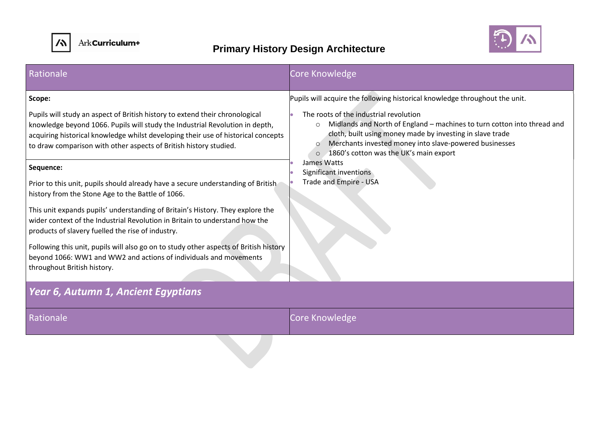



| Rationale                                                                                                                                                                                                                                                                                                              | Core Knowledge                                                                                                                                                                                                                                                                                                                                                                |  |
|------------------------------------------------------------------------------------------------------------------------------------------------------------------------------------------------------------------------------------------------------------------------------------------------------------------------|-------------------------------------------------------------------------------------------------------------------------------------------------------------------------------------------------------------------------------------------------------------------------------------------------------------------------------------------------------------------------------|--|
| Scope:                                                                                                                                                                                                                                                                                                                 | Pupils will acquire the following historical knowledge throughout the unit.                                                                                                                                                                                                                                                                                                   |  |
| Pupils will study an aspect of British history to extend their chronological<br>knowledge beyond 1066. Pupils will study the Industrial Revolution in depth,<br>acquiring historical knowledge whilst developing their use of historical concepts<br>to draw comparison with other aspects of British history studied. | The roots of the industrial revolution<br>Midlands and North of England - machines to turn cotton into thread and<br>$\circ$<br>cloth, built using money made by investing in slave trade<br>Merchants invested money into slave-powered businesses<br>$\circ$<br>o 1860's cotton was the UK's main export<br>James Watts<br>Significant inventions<br>Trade and Empire - USA |  |
| Sequence:                                                                                                                                                                                                                                                                                                              |                                                                                                                                                                                                                                                                                                                                                                               |  |
| Prior to this unit, pupils should already have a secure understanding of British<br>history from the Stone Age to the Battle of 1066.                                                                                                                                                                                  |                                                                                                                                                                                                                                                                                                                                                                               |  |
| This unit expands pupils' understanding of Britain's History. They explore the<br>wider context of the Industrial Revolution in Britain to understand how the<br>products of slavery fuelled the rise of industry.                                                                                                     |                                                                                                                                                                                                                                                                                                                                                                               |  |
| Following this unit, pupils will also go on to study other aspects of British history<br>beyond 1066: WW1 and WW2 and actions of individuals and movements<br>throughout British history.                                                                                                                              |                                                                                                                                                                                                                                                                                                                                                                               |  |
| Year 6, Autumn 1, Ancient Egyptians                                                                                                                                                                                                                                                                                    |                                                                                                                                                                                                                                                                                                                                                                               |  |
| Rationale                                                                                                                                                                                                                                                                                                              | Core Knowledge                                                                                                                                                                                                                                                                                                                                                                |  |
|                                                                                                                                                                                                                                                                                                                        |                                                                                                                                                                                                                                                                                                                                                                               |  |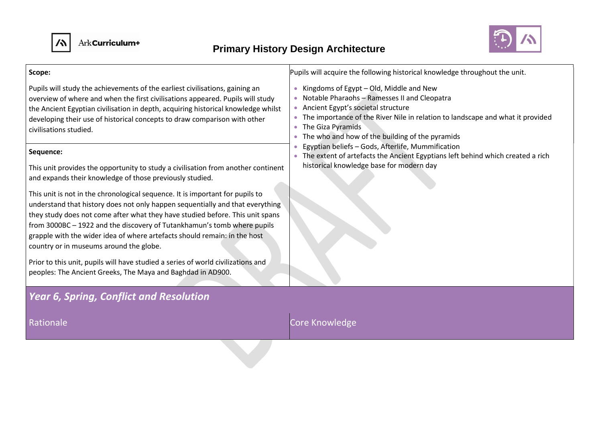



| Scope:                                                                                                                                                                                                                                                                                                                                                                                                                                                                                                                                                                                                | Pupils will acquire the following historical knowledge throughout the unit.                                                                                                                                                                                                                                                                                                                                                                                                      |  |
|-------------------------------------------------------------------------------------------------------------------------------------------------------------------------------------------------------------------------------------------------------------------------------------------------------------------------------------------------------------------------------------------------------------------------------------------------------------------------------------------------------------------------------------------------------------------------------------------------------|----------------------------------------------------------------------------------------------------------------------------------------------------------------------------------------------------------------------------------------------------------------------------------------------------------------------------------------------------------------------------------------------------------------------------------------------------------------------------------|--|
| Pupils will study the achievements of the earliest civilisations, gaining an<br>overview of where and when the first civilisations appeared. Pupils will study<br>the Ancient Egyptian civilisation in depth, acquiring historical knowledge whilst<br>developing their use of historical concepts to draw comparison with other<br>civilisations studied.<br>Sequence:                                                                                                                                                                                                                               | Kingdoms of Egypt - Old, Middle and New<br>• Notable Pharaohs - Ramesses II and Cleopatra<br>• Ancient Egypt's societal structure<br>The importance of the River Nile in relation to landscape and what it provided<br>The Giza Pyramids<br>• The who and how of the building of the pyramids<br>Egyptian beliefs - Gods, Afterlife, Mummification<br>The extent of artefacts the Ancient Egyptians left behind which created a rich<br>historical knowledge base for modern day |  |
| This unit provides the opportunity to study a civilisation from another continent<br>and expands their knowledge of those previously studied.                                                                                                                                                                                                                                                                                                                                                                                                                                                         |                                                                                                                                                                                                                                                                                                                                                                                                                                                                                  |  |
| This unit is not in the chronological sequence. It is important for pupils to<br>understand that history does not only happen sequentially and that everything<br>they study does not come after what they have studied before. This unit spans<br>from 3000BC - 1922 and the discovery of Tutankhamun's tomb where pupils<br>grapple with the wider idea of where artefacts should remain: in the host<br>country or in museums around the globe.<br>Prior to this unit, pupils will have studied a series of world civilizations and<br>peoples: The Ancient Greeks, The Maya and Baghdad in AD900. |                                                                                                                                                                                                                                                                                                                                                                                                                                                                                  |  |
| <b>Year 6, Spring, Conflict and Resolution</b>                                                                                                                                                                                                                                                                                                                                                                                                                                                                                                                                                        |                                                                                                                                                                                                                                                                                                                                                                                                                                                                                  |  |
| Rationale                                                                                                                                                                                                                                                                                                                                                                                                                                                                                                                                                                                             | Core Knowledge                                                                                                                                                                                                                                                                                                                                                                                                                                                                   |  |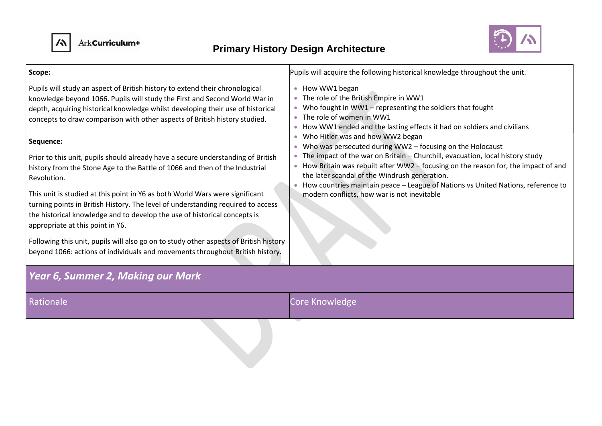



| Scope:                                                                                                                                                                                                                                                                                                                                                                                                                                                                                                                                                                                                                                                                                                                                                                                                                                                                                                                                                                                    | Pupils will acquire the following historical knowledge throughout the unit.                                                                                                                                                                                                                                                                                                                                                                                                                                                                                                                                                                                                                        |  |
|-------------------------------------------------------------------------------------------------------------------------------------------------------------------------------------------------------------------------------------------------------------------------------------------------------------------------------------------------------------------------------------------------------------------------------------------------------------------------------------------------------------------------------------------------------------------------------------------------------------------------------------------------------------------------------------------------------------------------------------------------------------------------------------------------------------------------------------------------------------------------------------------------------------------------------------------------------------------------------------------|----------------------------------------------------------------------------------------------------------------------------------------------------------------------------------------------------------------------------------------------------------------------------------------------------------------------------------------------------------------------------------------------------------------------------------------------------------------------------------------------------------------------------------------------------------------------------------------------------------------------------------------------------------------------------------------------------|--|
| Pupils will study an aspect of British history to extend their chronological<br>knowledge beyond 1066. Pupils will study the First and Second World War in<br>depth, acquiring historical knowledge whilst developing their use of historical<br>concepts to draw comparison with other aspects of British history studied.<br>Sequence:<br>Prior to this unit, pupils should already have a secure understanding of British<br>history from the Stone Age to the Battle of 1066 and then of the Industrial<br>Revolution.<br>This unit is studied at this point in Y6 as both World Wars were significant<br>turning points in British History. The level of understanding required to access<br>the historical knowledge and to develop the use of historical concepts is<br>appropriate at this point in Y6.<br>Following this unit, pupils will also go on to study other aspects of British history<br>beyond 1066: actions of individuals and movements throughout British history. | • How WW1 began<br>• The role of the British Empire in WW1<br>Who fought in $WW1$ – representing the soldiers that fought<br>• The role of women in WW1<br>• How WW1 ended and the lasting effects it had on soldiers and civilians<br>Who Hitler was and how WW2 began<br>• Who was persecuted during WW2 - focusing on the Holocaust<br>The impact of the war on Britain - Churchill, evacuation, local history study<br>• How Britain was rebuilt after WW2 – focusing on the reason for, the impact of and<br>the later scandal of the Windrush generation.<br>How countries maintain peace - League of Nations vs United Nations, reference to<br>modern conflicts, how war is not inevitable |  |
| Year 6, Summer 2, Making our Mark                                                                                                                                                                                                                                                                                                                                                                                                                                                                                                                                                                                                                                                                                                                                                                                                                                                                                                                                                         |                                                                                                                                                                                                                                                                                                                                                                                                                                                                                                                                                                                                                                                                                                    |  |
| Rationale                                                                                                                                                                                                                                                                                                                                                                                                                                                                                                                                                                                                                                                                                                                                                                                                                                                                                                                                                                                 | Core Knowledge                                                                                                                                                                                                                                                                                                                                                                                                                                                                                                                                                                                                                                                                                     |  |
|                                                                                                                                                                                                                                                                                                                                                                                                                                                                                                                                                                                                                                                                                                                                                                                                                                                                                                                                                                                           |                                                                                                                                                                                                                                                                                                                                                                                                                                                                                                                                                                                                                                                                                                    |  |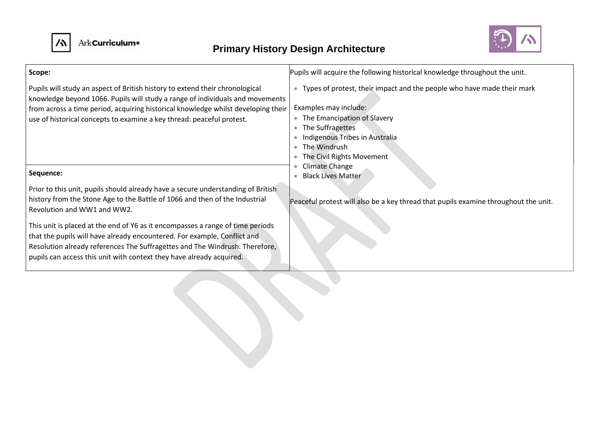



| Scope:                                                                                                                                                                                                                                                                                                                      | Pupils will acquire the following historical knowledge throughout the unit.                                                                                                                                                           |
|-----------------------------------------------------------------------------------------------------------------------------------------------------------------------------------------------------------------------------------------------------------------------------------------------------------------------------|---------------------------------------------------------------------------------------------------------------------------------------------------------------------------------------------------------------------------------------|
| Pupils will study an aspect of British history to extend their chronological<br>knowledge beyond 1066. Pupils will study a range of individuals and movements<br>from across a time period, acquiring historical knowledge whilst developing their<br>use of historical concepts to examine a key thread: peaceful protest. | • Types of protest, their impact and the people who have made their mark<br>Examples may include:<br>• The Emancipation of Slavery<br>The Suffragettes<br>Indigenous Tribes in Australia<br>The Windrush<br>The Civil Rights Movement |
| Sequence:                                                                                                                                                                                                                                                                                                                   | Climate Change<br><b>Black Lives Matter</b>                                                                                                                                                                                           |
| Prior to this unit, pupils should already have a secure understanding of British<br>history from the Stone Age to the Battle of 1066 and then of the Industrial<br>Revolution and WW1 and WW2.                                                                                                                              | Peaceful protest will also be a key thread that pupils examine throughout the unit.                                                                                                                                                   |
| This unit is placed at the end of Y6 as it encompasses a range of time periods<br>that the pupils will have already encountered. For example, Conflict and<br>Resolution already references The Suffragettes and The Windrush. Therefore,<br>pupils can access this unit with context they have already acquired.           |                                                                                                                                                                                                                                       |